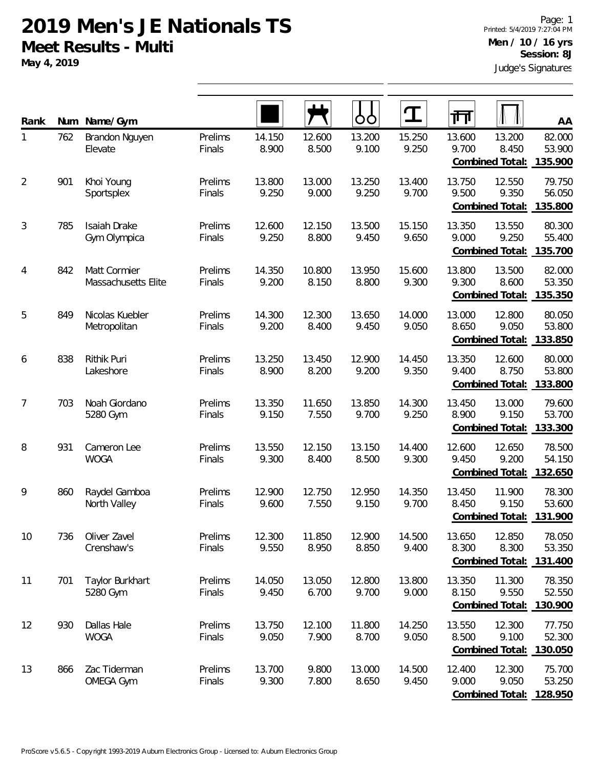**May 4, 2019**

| Rank           | Num | Name/Gym                            |                   |                 |                 | OO              |                 | गंग             |                                           | AA                          |
|----------------|-----|-------------------------------------|-------------------|-----------------|-----------------|-----------------|-----------------|-----------------|-------------------------------------------|-----------------------------|
| 1              | 762 | Brandon Nguyen<br>Elevate           | Prelims<br>Finals | 14.150<br>8.900 | 12.600<br>8.500 | 13.200<br>9.100 | 15.250<br>9.250 | 13.600<br>9.700 | 13.200<br>8.450<br>Combined Total:        | 82.000<br>53.900<br>135.900 |
| $\overline{2}$ | 901 | Khoi Young<br>Sportsplex            | Prelims<br>Finals | 13.800<br>9.250 | 13.000<br>9.000 | 13.250<br>9.250 | 13.400<br>9.700 | 13.750<br>9.500 | 12.550<br>9.350<br>Combined Total:        | 79.750<br>56.050<br>135.800 |
| $\sqrt{3}$     | 785 | <b>Isaiah Drake</b><br>Gym Olympica | Prelims<br>Finals | 12.600<br>9.250 | 12.150<br>8.800 | 13.500<br>9.450 | 15.150<br>9.650 | 13.350<br>9.000 | 13.550<br>9.250<br>Combined Total:        | 80.300<br>55.400<br>135.700 |
| $\overline{4}$ | 842 | Matt Cormier<br>Massachusetts Elite | Prelims<br>Finals | 14.350<br>9.200 | 10.800<br>8.150 | 13.950<br>8.800 | 15.600<br>9.300 | 13.800<br>9.300 | 13.500<br>8.600<br>Combined Total:        | 82.000<br>53.350<br>135.350 |
| 5              | 849 | Nicolas Kuebler<br>Metropolitan     | Prelims<br>Finals | 14.300<br>9.200 | 12.300<br>8.400 | 13.650<br>9.450 | 14.000<br>9.050 | 13.000<br>8.650 | 12.800<br>9.050<br><b>Combined Total:</b> | 80.050<br>53.800<br>133.850 |
| 6              | 838 | Rithik Puri<br>Lakeshore            | Prelims<br>Finals | 13.250<br>8.900 | 13.450<br>8.200 | 12.900<br>9.200 | 14.450<br>9.350 | 13.350<br>9.400 | 12.600<br>8.750<br>Combined Total:        | 80.000<br>53.800<br>133.800 |
| 7              | 703 | Noah Giordano<br>5280 Gym           | Prelims<br>Finals | 13.350<br>9.150 | 11.650<br>7.550 | 13.850<br>9.700 | 14.300<br>9.250 | 13.450<br>8.900 | 13.000<br>9.150<br>Combined Total:        | 79.600<br>53.700<br>133.300 |
| 8              | 931 | Cameron Lee<br><b>WOGA</b>          | Prelims<br>Finals | 13.550<br>9.300 | 12.150<br>8.400 | 13.150<br>8.500 | 14.400<br>9.300 | 12.600<br>9.450 | 12.650<br>9.200<br><b>Combined Total:</b> | 78.500<br>54.150<br>132.650 |
| 9              | 860 | Raydel Gamboa<br>North Valley       | Prelims<br>Finals | 12.900<br>9.600 | 12.750<br>7.550 | 12.950<br>9.150 | 14.350<br>9.700 | 13.450<br>8.450 | 11.900<br>9.150<br>Combined Total:        | 78.300<br>53.600<br>131.900 |
| 10             | 736 | Oliver Zavel<br>Crenshaw's          | Prelims<br>Finals | 12.300<br>9.550 | 11.850<br>8.950 | 12.900<br>8.850 | 14.500<br>9.400 | 13.650<br>8.300 | 12.850<br>8.300<br><b>Combined Total:</b> | 78.050<br>53.350<br>131.400 |
| 11             | 701 | Taylor Burkhart<br>5280 Gym         | Prelims<br>Finals | 14.050<br>9.450 | 13.050<br>6.700 | 12.800<br>9.700 | 13.800<br>9.000 | 13.350<br>8.150 | 11.300<br>9.550<br>Combined Total:        | 78.350<br>52.550<br>130.900 |
| 12             | 930 | Dallas Hale<br><b>WOGA</b>          | Prelims<br>Finals | 13.750<br>9.050 | 12.100<br>7.900 | 11.800<br>8.700 | 14.250<br>9.050 | 13.550<br>8.500 | 12.300<br>9.100<br><b>Combined Total:</b> | 77.750<br>52.300<br>130.050 |
| 13             | 866 | Zac Tiderman<br>OMEGA Gym           | Prelims<br>Finals | 13.700<br>9.300 | 9.800<br>7.800  | 13.000<br>8.650 | 14.500<br>9.450 | 12.400<br>9.000 | 12.300<br>9.050<br>Combined Total:        | 75.700<br>53.250<br>128.950 |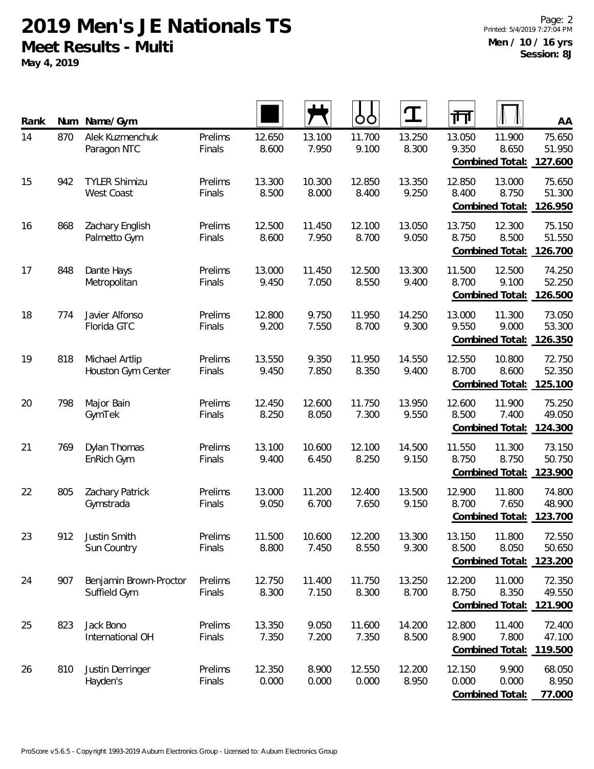**May 4, 2019**

| Rank | <b>Num</b> | Name/Gym                                  |                   |                 |                 | O               | T               | 帀                                                     | AA                          |
|------|------------|-------------------------------------------|-------------------|-----------------|-----------------|-----------------|-----------------|-------------------------------------------------------|-----------------------------|
| 14   | 870        | Alek Kuzmenchuk<br>Paragon NTC            | Prelims<br>Finals | 12.650<br>8.600 | 13.100<br>7.950 | 11.700<br>9.100 | 13.250<br>8.300 | 13.050<br>11.900<br>9.350<br>8.650<br>Combined Total: | 75.650<br>51.950<br>127.600 |
| 15   | 942        | <b>TYLER Shimizu</b><br><b>West Coast</b> | Prelims<br>Finals | 13.300<br>8.500 | 10.300<br>8.000 | 12.850<br>8.400 | 13.350<br>9.250 | 12.850<br>13.000<br>8.400<br>8.750<br>Combined Total: | 75.650<br>51.300<br>126.950 |
| 16   | 868        | Zachary English<br>Palmetto Gym           | Prelims<br>Finals | 12.500<br>8.600 | 11.450<br>7.950 | 12.100<br>8.700 | 13.050<br>9.050 | 13.750<br>12.300<br>8.750<br>8.500<br>Combined Total: | 75.150<br>51.550<br>126.700 |
| 17   | 848        | Dante Hays<br>Metropolitan                | Prelims<br>Finals | 13.000<br>9.450 | 11.450<br>7.050 | 12.500<br>8.550 | 13.300<br>9.400 | 11.500<br>12.500<br>8.700<br>9.100<br>Combined Total: | 74.250<br>52.250<br>126.500 |
| 18   | 774        | Javier Alfonso<br>Florida GTC             | Prelims<br>Finals | 12.800<br>9.200 | 9.750<br>7.550  | 11.950<br>8.700 | 14.250<br>9.300 | 13.000<br>11.300<br>9.000<br>9.550<br>Combined Total: | 73.050<br>53.300<br>126.350 |
| 19   | 818        | Michael Artlip<br>Houston Gym Center      | Prelims<br>Finals | 13.550<br>9.450 | 9.350<br>7.850  | 11.950<br>8.350 | 14.550<br>9.400 | 12.550<br>10.800<br>8.700<br>8.600<br>Combined Total: | 72.750<br>52.350<br>125.100 |
| 20   | 798        | Major Bain<br>GymTek                      | Prelims<br>Finals | 12.450<br>8.250 | 12.600<br>8.050 | 11.750<br>7.300 | 13.950<br>9.550 | 12.600<br>11.900<br>8.500<br>7.400<br>Combined Total: | 75.250<br>49.050<br>124.300 |
| 21   | 769        | Dylan Thomas<br>EnRich Gym                | Prelims<br>Finals | 13.100<br>9.400 | 10.600<br>6.450 | 12.100<br>8.250 | 14.500<br>9.150 | 11.550<br>11.300<br>8.750<br>8.750<br>Combined Total: | 73.150<br>50.750<br>123.900 |
| 22   | 805        | Zachary Patrick<br>Gymstrada              | Prelims<br>Finals | 13.000<br>9.050 | 11.200<br>6.700 | 12.400<br>7.650 | 13.500<br>9.150 | 12.900<br>11.800<br>8.700<br>7.650<br>Combined Total: | 74.800<br>48.900<br>123.700 |
| 23   | 912        | Justin Smith<br>Sun Country               | Prelims<br>Finals | 11.500<br>8.800 | 10.600<br>7.450 | 12.200<br>8.550 | 13.300<br>9.300 | 13.150<br>11.800<br>8.500<br>8.050<br>Combined Total: | 72.550<br>50.650<br>123.200 |
| 24   | 907        | Benjamin Brown-Proctor<br>Suffield Gym    | Prelims<br>Finals | 12.750<br>8.300 | 11.400<br>7.150 | 11.750<br>8.300 | 13.250<br>8.700 | 12.200<br>11.000<br>8.750<br>8.350<br>Combined Total: | 72.350<br>49.550<br>121.900 |
| 25   | 823        | Jack Bono<br>International OH             | Prelims<br>Finals | 13.350<br>7.350 | 9.050<br>7.200  | 11.600<br>7.350 | 14.200<br>8.500 | 12.800<br>11.400<br>8.900<br>7.800<br>Combined Total: | 72.400<br>47.100<br>119.500 |
| 26   | 810        | Justin Derringer<br>Hayden's              | Prelims<br>Finals | 12.350<br>0.000 | 8.900<br>0.000  | 12.550<br>0.000 | 12.200<br>8.950 | 12.150<br>9.900<br>0.000<br>0.000<br>Combined Total:  | 68.050<br>8.950<br>77.000   |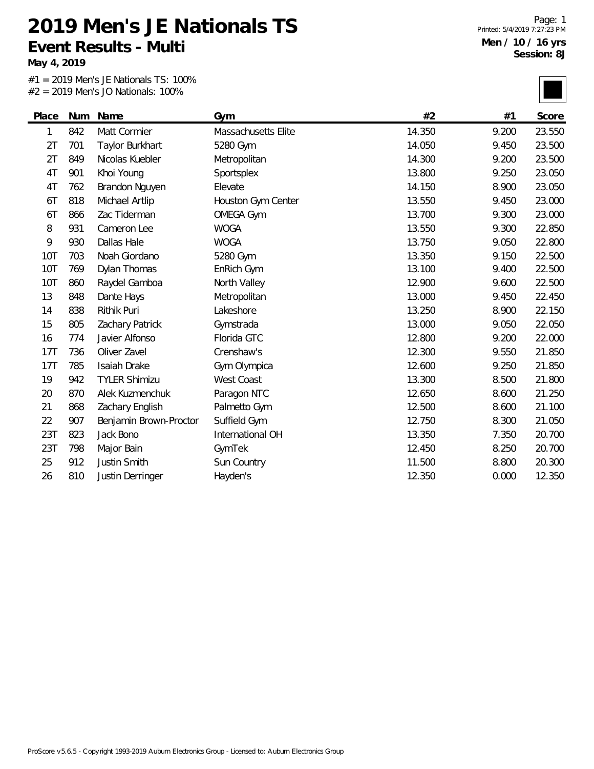**May 4, 2019**

 $\overline{\phantom{0}}$ 

#1 = 2019 Men's JE Nationals TS: 100% #2 = 2019 Men's JO Nationals: 100%

| Place          | Num | Name                   | Gym                 | #2     | #1    | Score  |
|----------------|-----|------------------------|---------------------|--------|-------|--------|
| 1              | 842 | Matt Cormier           | Massachusetts Elite | 14.350 | 9.200 | 23.550 |
| 2T             | 701 | Taylor Burkhart        | 5280 Gym            | 14.050 | 9.450 | 23.500 |
| 2T             | 849 | Nicolas Kuebler        | Metropolitan        | 14.300 | 9.200 | 23.500 |
| 4 <sub>T</sub> | 901 | Khoi Young             | Sportsplex          | 13.800 | 9.250 | 23.050 |
| 4T             | 762 | Brandon Nguyen         | Elevate             | 14.150 | 8.900 | 23.050 |
| 6T             | 818 | Michael Artlip         | Houston Gym Center  | 13.550 | 9.450 | 23.000 |
| 6T             | 866 | Zac Tiderman           | <b>OMEGA Gym</b>    | 13.700 | 9.300 | 23.000 |
| 8              | 931 | Cameron Lee            | <b>WOGA</b>         | 13.550 | 9.300 | 22.850 |
| 9              | 930 | Dallas Hale            | <b>WOGA</b>         | 13.750 | 9.050 | 22.800 |
| 10T            | 703 | Noah Giordano          | 5280 Gym            | 13.350 | 9.150 | 22.500 |
| <b>10T</b>     | 769 | Dylan Thomas           | EnRich Gym          | 13.100 | 9.400 | 22.500 |
| 10T            | 860 | Raydel Gamboa          | North Valley        | 12.900 | 9.600 | 22.500 |
| 13             | 848 | Dante Hays             | Metropolitan        | 13.000 | 9.450 | 22.450 |
| 14             | 838 | Rithik Puri            | Lakeshore           | 13.250 | 8.900 | 22.150 |
| 15             | 805 | Zachary Patrick        | Gymstrada           | 13.000 | 9.050 | 22.050 |
| 16             | 774 | Javier Alfonso         | Florida GTC         | 12.800 | 9.200 | 22.000 |
| 17T            | 736 | Oliver Zavel           | Crenshaw's          | 12.300 | 9.550 | 21.850 |
| 17T            | 785 | Isaiah Drake           | Gym Olympica        | 12.600 | 9.250 | 21.850 |
| 19             | 942 | <b>TYLER Shimizu</b>   | <b>West Coast</b>   | 13.300 | 8.500 | 21.800 |
| 20             | 870 | Alek Kuzmenchuk        | Paragon NTC         | 12.650 | 8.600 | 21.250 |
| 21             | 868 | Zachary English        | Palmetto Gym        | 12.500 | 8.600 | 21.100 |
| 22             | 907 | Benjamin Brown-Proctor | Suffield Gym        | 12.750 | 8.300 | 21.050 |
| 23T            | 823 | Jack Bono              | International OH    | 13.350 | 7.350 | 20.700 |
| 23T            | 798 | Major Bain             | GymTek              | 12.450 | 8.250 | 20.700 |
| 25             | 912 | Justin Smith           | Sun Country         | 11.500 | 8.800 | 20.300 |
| 26             | 810 | Justin Derringer       | Hayden's            | 12.350 | 0.000 | 12.350 |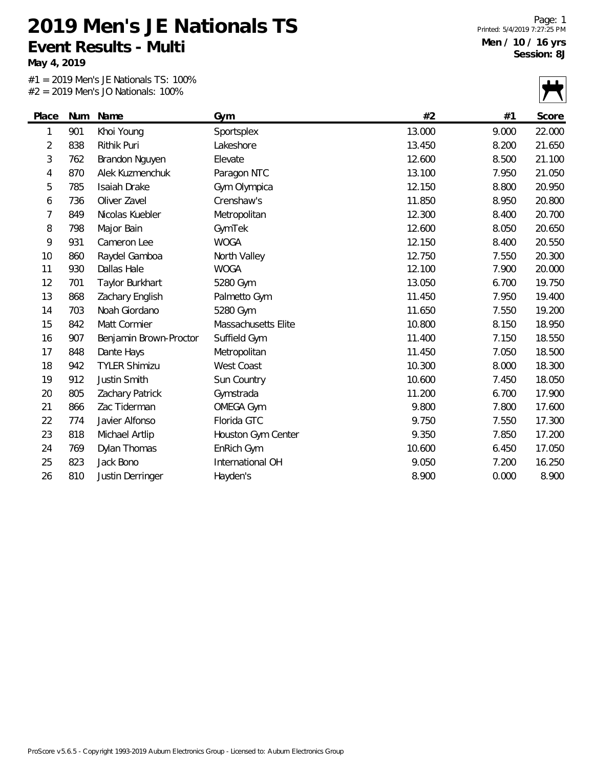**May 4, 2019**

#1 = 2019 Men's JE Nationals TS: 100% #2 = 2019 Men's JO Nationals: 100%

|                |     | $-$ 2017 INCHES 30 INGHORIOS. TOO 70 |                     |        |       | ,<br>$\mathbf{V}$ |
|----------------|-----|--------------------------------------|---------------------|--------|-------|-------------------|
| Place          | Num | Name                                 | Gym                 | #2     | #1    | Score             |
| 1              | 901 | Khoi Young                           | Sportsplex          | 13.000 | 9.000 | 22.000            |
| $\overline{2}$ | 838 | Rithik Puri                          | Lakeshore           | 13.450 | 8.200 | 21.650            |
| 3              | 762 | Brandon Nguyen                       | Elevate             | 12.600 | 8.500 | 21.100            |
| 4              | 870 | Alek Kuzmenchuk                      | Paragon NTC         | 13.100 | 7.950 | 21.050            |
| 5              | 785 | Isaiah Drake                         | Gym Olympica        | 12.150 | 8.800 | 20.950            |
| 6              | 736 | Oliver Zavel                         | Crenshaw's          | 11.850 | 8.950 | 20.800            |
| 7              | 849 | Nicolas Kuebler                      | Metropolitan        | 12.300 | 8.400 | 20.700            |
| 8              | 798 | Major Bain                           | GymTek              | 12.600 | 8.050 | 20.650            |
| 9              | 931 | Cameron Lee                          | <b>WOGA</b>         | 12.150 | 8.400 | 20.550            |
| 10             | 860 | Raydel Gamboa                        | North Valley        | 12.750 | 7.550 | 20.300            |
| 11             | 930 | Dallas Hale                          | <b>WOGA</b>         | 12.100 | 7.900 | 20.000            |
| 12             | 701 | Taylor Burkhart                      | 5280 Gym            | 13.050 | 6.700 | 19.750            |
| 13             | 868 | Zachary English                      | Palmetto Gym        | 11.450 | 7.950 | 19.400            |
| 14             | 703 | Noah Giordano                        | 5280 Gym            | 11.650 | 7.550 | 19.200            |
| 15             | 842 | Matt Cormier                         | Massachusetts Elite | 10.800 | 8.150 | 18.950            |
| 16             | 907 | Benjamin Brown-Proctor               | Suffield Gym        | 11.400 | 7.150 | 18.550            |
| 17             | 848 | Dante Hays                           | Metropolitan        | 11.450 | 7.050 | 18.500            |
| 18             | 942 | <b>TYLER Shimizu</b>                 | West Coast          | 10.300 | 8.000 | 18.300            |
| 19             | 912 | Justin Smith                         | Sun Country         | 10.600 | 7.450 | 18.050            |
| 20             | 805 | Zachary Patrick                      | Gymstrada           | 11.200 | 6.700 | 17.900            |
| 21             | 866 | Zac Tiderman                         | <b>OMEGA Gym</b>    | 9.800  | 7.800 | 17.600            |
| 22             | 774 | Javier Alfonso                       | Florida GTC         | 9.750  | 7.550 | 17.300            |
| 23             | 818 | Michael Artlip                       | Houston Gym Center  | 9.350  | 7.850 | 17.200            |
| 24             | 769 | Dylan Thomas                         | EnRich Gym          | 10.600 | 6.450 | 17.050            |
| 25             | 823 | Jack Bono                            | International OH    | 9.050  | 7.200 | 16.250            |
| 26             | 810 | Justin Derringer                     | Hayden's            | 8.900  | 0.000 | 8.900             |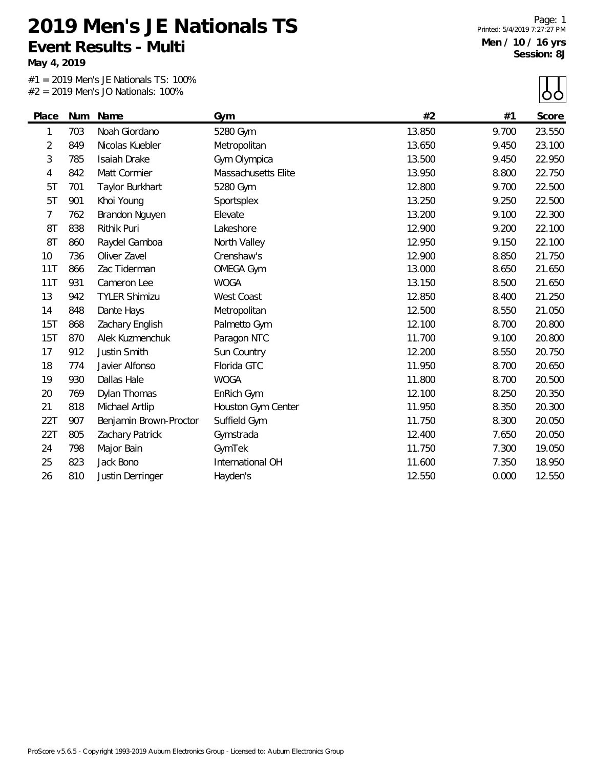**May 4, 2019**

 $#1 = 2019$  Men's JE Nationals TS: 100%<br> $#2 = 2019$  Men's JO Nationals: 100%  $= 2010$  Mon's JO Nationals

Page: 1 Printed: 5/4/2019 7:27:27 PM **Men / 10 / 16 yrs Session: 8J**

 $\mathbf{L}$ 

|                |     | $#2 = 2019$ Men's JO Nationals: 100% |                     |        |       | ŌŌ     |
|----------------|-----|--------------------------------------|---------------------|--------|-------|--------|
| Place          | Num | Name                                 | Gym                 | #2     | #1    | Score  |
| 1              | 703 | Noah Giordano                        | 5280 Gym            | 13.850 | 9.700 | 23.550 |
| $\overline{2}$ | 849 | Nicolas Kuebler                      | Metropolitan        | 13.650 | 9.450 | 23.100 |
| 3              | 785 | Isaiah Drake                         | Gym Olympica        | 13.500 | 9.450 | 22.950 |
| 4              | 842 | Matt Cormier                         | Massachusetts Elite | 13.950 | 8.800 | 22.750 |
| 5T             | 701 | Taylor Burkhart                      | 5280 Gym            | 12.800 | 9.700 | 22.500 |
| 5T             | 901 | Khoi Young                           | Sportsplex          | 13.250 | 9.250 | 22.500 |
| $\overline{7}$ | 762 | Brandon Nguyen                       | Elevate             | 13.200 | 9.100 | 22.300 |
| 8T             | 838 | <b>Rithik Puri</b>                   | Lakeshore           | 12.900 | 9.200 | 22.100 |
| 8T             | 860 | Raydel Gamboa                        | North Valley        | 12.950 | 9.150 | 22.100 |
| 10             | 736 | Oliver Zavel                         | Crenshaw's          | 12.900 | 8.850 | 21.750 |
| 11T            | 866 | Zac Tiderman                         | <b>OMEGA Gym</b>    | 13.000 | 8.650 | 21.650 |
| 11T            | 931 | Cameron Lee                          | <b>WOGA</b>         | 13.150 | 8.500 | 21.650 |
| 13             | 942 | <b>TYLER Shimizu</b>                 | West Coast          | 12.850 | 8.400 | 21.250 |
| 14             | 848 | Dante Hays                           | Metropolitan        | 12.500 | 8.550 | 21.050 |
| 15T            | 868 | Zachary English                      | Palmetto Gym        | 12.100 | 8.700 | 20.800 |
| 15T            | 870 | Alek Kuzmenchuk                      | Paragon NTC         | 11.700 | 9.100 | 20.800 |
| 17             | 912 | Justin Smith                         | Sun Country         | 12.200 | 8.550 | 20.750 |
| 18             | 774 | Javier Alfonso                       | Florida GTC         | 11.950 | 8.700 | 20.650 |
| 19             | 930 | Dallas Hale                          | <b>WOGA</b>         | 11.800 | 8.700 | 20.500 |
| 20             | 769 | Dylan Thomas                         | EnRich Gym          | 12.100 | 8.250 | 20.350 |
| 21             | 818 | Michael Artlip                       | Houston Gym Center  | 11.950 | 8.350 | 20.300 |
| 22T            | 907 | Benjamin Brown-Proctor               | Suffield Gym        | 11.750 | 8.300 | 20.050 |
| 22T            | 805 | Zachary Patrick                      | Gymstrada           | 12.400 | 7.650 | 20.050 |
| 24             | 798 | Major Bain                           | GymTek              | 11.750 | 7.300 | 19.050 |
| 25             | 823 | Jack Bono                            | International OH    | 11.600 | 7.350 | 18.950 |
| 26             | 810 | Justin Derringer                     | Hayden's            | 12.550 | 0.000 | 12.550 |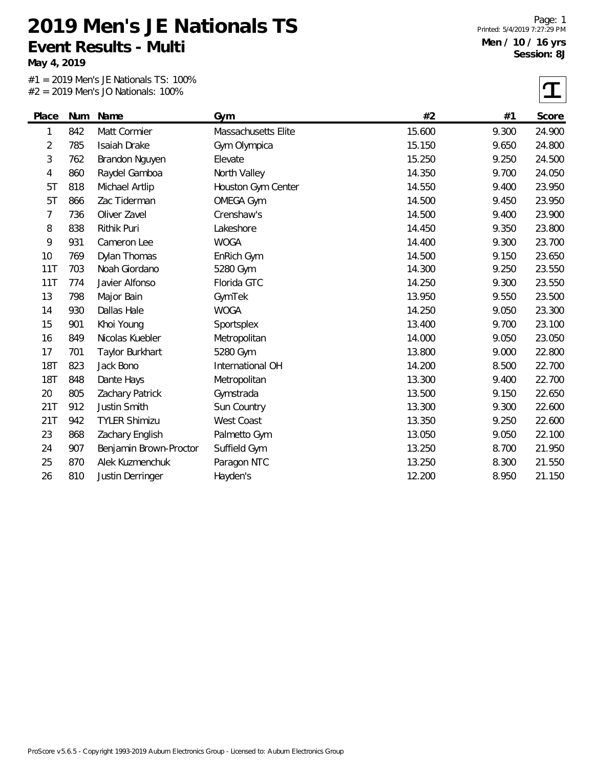**May 4, 2019**

#1 = 2019 Men's JE Nationals TS: 100% #2 = 2019 Men's JO Nationals: 100%

Page: 1 Printed: 5/4/2019 7:27:29 PM **Men / 10 / 16 yrs Session: 8J**

 $\sqrt{ }$ 

|            |     | $#Z = ZUIY$ Mens JO Nationals: 100% |                     |        |       | ┷      |
|------------|-----|-------------------------------------|---------------------|--------|-------|--------|
| Place      | Num | Name                                | Gym                 | #2     | #1    | Score  |
| 1          | 842 | Matt Cormier                        | Massachusetts Elite | 15.600 | 9.300 | 24.900 |
| 2          | 785 | Isaiah Drake                        | Gym Olympica        | 15.150 | 9.650 | 24.800 |
| 3          | 762 | Brandon Nguyen                      | Elevate             | 15.250 | 9.250 | 24.500 |
| 4          | 860 | Raydel Gamboa                       | North Valley        | 14.350 | 9.700 | 24.050 |
| 5T         | 818 | Michael Artlip                      | Houston Gym Center  | 14.550 | 9.400 | 23.950 |
| 5T         | 866 | Zac Tiderman                        | <b>OMEGA Gym</b>    | 14.500 | 9.450 | 23.950 |
| 7          | 736 | Oliver Zavel                        | Crenshaw's          | 14.500 | 9.400 | 23.900 |
| 8          | 838 | Rithik Puri                         | Lakeshore           | 14.450 | 9.350 | 23.800 |
| 9          | 931 | Cameron Lee                         | <b>WOGA</b>         | 14.400 | 9.300 | 23.700 |
| 10         | 769 | Dylan Thomas                        | EnRich Gym          | 14.500 | 9.150 | 23.650 |
| 11T        | 703 | Noah Giordano                       | 5280 Gym            | 14.300 | 9.250 | 23.550 |
| 11T        | 774 | Javier Alfonso                      | Florida GTC         | 14.250 | 9.300 | 23.550 |
| 13         | 798 | Major Bain                          | GymTek              | 13.950 | 9.550 | 23.500 |
| 14         | 930 | Dallas Hale                         | <b>WOGA</b>         | 14.250 | 9.050 | 23.300 |
| 15         | 901 | Khoi Young                          | Sportsplex          | 13.400 | 9.700 | 23.100 |
| 16         | 849 | Nicolas Kuebler                     | Metropolitan        | 14.000 | 9.050 | 23.050 |
| 17         | 701 | Taylor Burkhart                     | 5280 Gym            | 13.800 | 9.000 | 22.800 |
| <b>18T</b> | 823 | Jack Bono                           | International OH    | 14.200 | 8.500 | 22.700 |
| <b>18T</b> | 848 | Dante Hays                          | Metropolitan        | 13.300 | 9.400 | 22.700 |
| 20         | 805 | Zachary Patrick                     | Gymstrada           | 13.500 | 9.150 | 22.650 |
| 21T        | 912 | Justin Smith                        | Sun Country         | 13.300 | 9.300 | 22.600 |
| 21T        | 942 | <b>TYLER Shimizu</b>                | <b>West Coast</b>   | 13.350 | 9.250 | 22.600 |
| 23         | 868 | Zachary English                     | Palmetto Gym        | 13.050 | 9.050 | 22.100 |
| 24         | 907 | Benjamin Brown-Proctor              | Suffield Gym        | 13.250 | 8.700 | 21.950 |
| 25         | 870 | Alek Kuzmenchuk                     | Paragon NTC         | 13.250 | 8.300 | 21.550 |
| 26         | 810 | Justin Derringer                    | Hayden's            | 12.200 | 8.950 | 21.150 |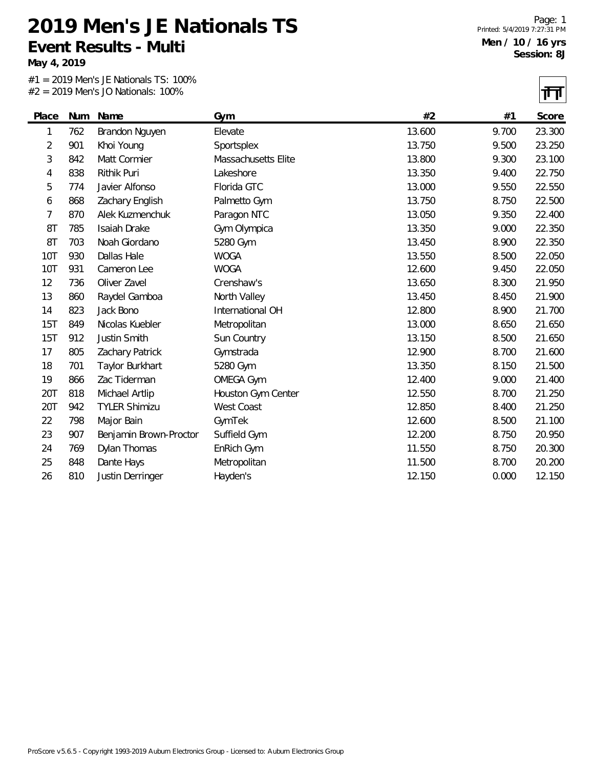**May 4, 2019**

#1 = 2019 Men's JE Nationals TS: 100% #2 = 2019 Men's JO Nationals: 100%

नन

|                |     |                        |                     |        |       | 1' L'  |
|----------------|-----|------------------------|---------------------|--------|-------|--------|
| Place          |     | Num Name               | Gym                 | #2     | #1    | Score  |
| 1              | 762 | Brandon Nguyen         | Elevate             | 13.600 | 9.700 | 23.300 |
| $\overline{2}$ | 901 | Khoi Young             | Sportsplex          | 13.750 | 9.500 | 23.250 |
| 3              | 842 | Matt Cormier           | Massachusetts Elite | 13.800 | 9.300 | 23.100 |
| 4              | 838 | Rithik Puri            | Lakeshore           | 13.350 | 9.400 | 22.750 |
| 5              | 774 | Javier Alfonso         | Florida GTC         | 13.000 | 9.550 | 22.550 |
| 6              | 868 | Zachary English        | Palmetto Gym        | 13.750 | 8.750 | 22.500 |
| 7              | 870 | Alek Kuzmenchuk        | Paragon NTC         | 13.050 | 9.350 | 22.400 |
| 8T             | 785 | Isaiah Drake           | Gym Olympica        | 13.350 | 9.000 | 22.350 |
| 8T             | 703 | Noah Giordano          | 5280 Gym            | 13.450 | 8.900 | 22.350 |
| 10T            | 930 | Dallas Hale            | <b>WOGA</b>         | 13.550 | 8.500 | 22.050 |
| 10T            | 931 | Cameron Lee            | <b>WOGA</b>         | 12.600 | 9.450 | 22.050 |
| 12             | 736 | Oliver Zavel           | Crenshaw's          | 13.650 | 8.300 | 21.950 |
| 13             | 860 | Raydel Gamboa          | North Valley        | 13.450 | 8.450 | 21.900 |
| 14             | 823 | Jack Bono              | International OH    | 12.800 | 8.900 | 21.700 |
| 15T            | 849 | Nicolas Kuebler        | Metropolitan        | 13.000 | 8.650 | 21.650 |
| 15T            | 912 | Justin Smith           | Sun Country         | 13.150 | 8.500 | 21.650 |
| 17             | 805 | Zachary Patrick        | Gymstrada           | 12.900 | 8.700 | 21.600 |
| 18             | 701 | Taylor Burkhart        | 5280 Gym            | 13.350 | 8.150 | 21.500 |
| 19             | 866 | Zac Tiderman           | <b>OMEGA Gym</b>    | 12.400 | 9.000 | 21.400 |
| 20T            | 818 | Michael Artlip         | Houston Gym Center  | 12.550 | 8.700 | 21.250 |
| 20T            | 942 | <b>TYLER Shimizu</b>   | <b>West Coast</b>   | 12.850 | 8.400 | 21.250 |
| 22             | 798 | Major Bain             | GymTek              | 12.600 | 8.500 | 21.100 |
| 23             | 907 | Benjamin Brown-Proctor | Suffield Gym        | 12.200 | 8.750 | 20.950 |
| 24             | 769 | Dylan Thomas           | EnRich Gym          | 11.550 | 8.750 | 20.300 |
| 25             | 848 | Dante Hays             | Metropolitan        | 11.500 | 8.700 | 20.200 |
| 26             | 810 | Justin Derringer       | Hayden's            | 12.150 | 0.000 | 12.150 |